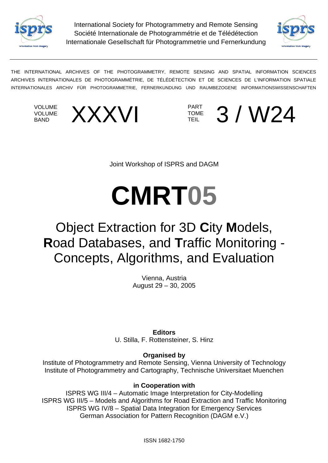

 Internationale Gesellschaft für Photogrammetrie und Fernerkundung International Society for Photogrammetry and Remote Sensing Société Internationale de Photogrammétrie et de Télédétection



THE INTERNATIONAL ARCHIVES OF THE PHOTOGRAMMETRY, REMOTE SENSING AND SPATIAL INFORMATION SCIENCES ARCHIVES INTERNATIONALES DE PHOTOGRAMMÉTRIE, DE TÉLÉDÉTECTION ET DE SCIENCES DE L'INFORMATION SPATIALE INTERNATIONALES ARCHIV FÜR PHOTOGRAMMETRIE, FERNERKUNDUNG UND RAUMBEZOGENE INFORMATIONSWISSENSCHAFTEN

VOLUME VOLUME





Joint Workshop of ISPRS and DAGM

# **CMRT05**

# Object Extraction for 3D **C**ity **M**odels, **R**oad Databases, and **T**raffic Monitoring - Concepts, Algorithms, and Evaluation

Vienna, Austria August 29 – 30, 2005

**Editors**  U. Stilla, F. Rottensteiner, S. Hinz

**Organised by** 

Institute of Photogrammetry and Remote Sensing, Vienna University of Technology Institute of Photogrammetry and Cartography, Technische Universitaet Muenchen

#### **in Cooperation with**

ISPRS WG III/4 – Automatic Image Interpretation for City-Modelling ISPRS WG III/5 – Models and Algorithms for Road Extraction and Traffic Monitoring ISPRS WG IV/8 – Spatial Data Integration for Emergency Services German Association for Pattern Recognition (DAGM e.V.)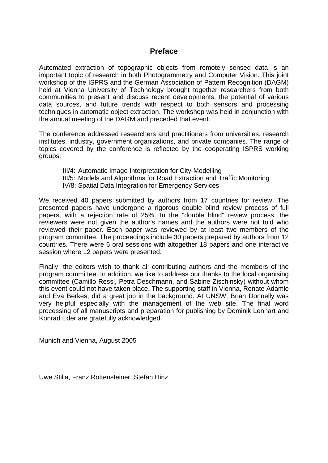#### **Preface**

Automated extraction of topographic objects from remotely sensed data is an important topic of research in both Photogrammetry and Computer Vision. This joint workshop of the ISPRS and the German Association of Pattern Recognition (DAGM) held at Vienna University of Technology brought together researchers from both communities to present and discuss recent developments, the potential of various data sources, and future trends with respect to both sensors and processing techniques in automatic object extraction. The workshop was held in conjunction with the annual meeting of the DAGM and preceded that event.

The conference addressed researchers and practitioners from universities, research institutes, industry, government organizations, and private companies. The range of topics covered by the conference is reflected by the cooperating ISPRS working groups:

- III/4: Automatic Image Interpretation for City-Modelling
- III/5: Models and Algorithms for Road Extraction and Traffic Monitoring
- IV/8: Spatial Data Integration for Emergency Services

We received 40 papers submitted by authors from 17 countries for review. The presented papers have undergone a rigorous double blind review process of full papers, with a rejection rate of 25%. In the "double blind" review process, the reviewers were not given the author's names and the authors were not told who reviewed their paper. Each paper was reviewed by at least two members of the program committee. The proceedings include 30 papers prepared by authors from 12 countries. There were 6 oral sessions with altogether 18 papers and one interactive session where 12 papers were presented.

Finally, the editors wish to thank all contributing authors and the members of the program committee. In addition, we like to address our thanks to the local organising committee (Camillo Ressl, Petra Deschmann, and Sabine Zischinsky) without whom this event could not have taken place. The supporting staff in Vienna, Renate Adamle and Eva Berkes, did a great job in the background. At UNSW, Brian Donnelly was very helpful especially with the management of the web site. The final word processing of all manuscripts and preparation for publishing by Dominik Lenhart and Konrad Eder are gratefully acknowledged.

Munich and Vienna, August 2005

Uwe Stilla, Franz Rottensteiner, Stefan Hinz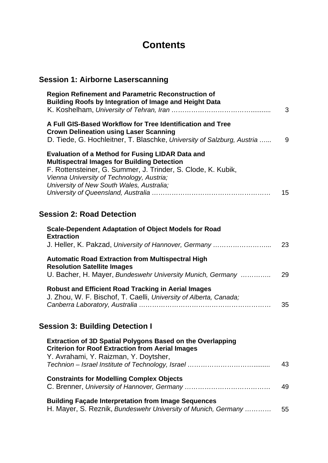# **Contents**

### **Session 1: Airborne Laserscanning**

| <b>Region Refinement and Parametric Reconstruction of</b><br><b>Building Roofs by Integration of Image and Height Data</b>                                                                                                                                              | 3  |
|-------------------------------------------------------------------------------------------------------------------------------------------------------------------------------------------------------------------------------------------------------------------------|----|
| A Full GIS-Based Workflow for Tree Identification and Tree<br><b>Crown Delineation using Laser Scanning</b><br>D. Tiede, G. Hochleitner, T. Blaschke, University of Salzburg, Austria                                                                                   | 9  |
| <b>Evaluation of a Method for Fusing LIDAR Data and</b><br><b>Multispectral Images for Building Detection</b><br>F. Rottensteiner, G. Summer, J. Trinder, S. Clode, K. Kubik,<br>Vienna University of Technology, Austria;<br>University of New South Wales, Australia; | 15 |
| <b>Session 2: Road Detection</b>                                                                                                                                                                                                                                        |    |
| <b>Scale-Dependent Adaptation of Object Models for Road</b>                                                                                                                                                                                                             |    |
| <b>Extraction</b><br>J. Heller, K. Pakzad, University of Hannover, Germany                                                                                                                                                                                              | 23 |
| <b>Automatic Road Extraction from Multispectral High</b><br><b>Resolution Satellite Images</b><br>U. Bacher, H. Mayer, Bundeswehr University Munich, Germany                                                                                                            | 29 |
| <b>Robust and Efficient Road Tracking in Aerial Images</b><br>J. Zhou, W. F. Bischof, T. Caelli, University of Alberta, Canada;                                                                                                                                         | 35 |
| <b>Session 3: Building Detection I</b>                                                                                                                                                                                                                                  |    |
| <b>Extraction of 3D Spatial Polygons Based on the Overlapping</b><br><b>Criterion for Roof Extraction from Aerial Images</b><br>Y. Avrahami, Y. Raizman, Y. Doytsher,                                                                                                   | 43 |
| <b>Constraints for Modelling Complex Objects</b>                                                                                                                                                                                                                        | 49 |

| <b>Building Façade Interpretation from Image Sequences</b> |  |
|------------------------------------------------------------|--|
| H Moyer C Dezpik Bundequebrillowspitu of Munich Cormony    |  |

| H. Mayer, S. Reznik, Bundeswehr University of Munich, Germany |  | - 55 |
|---------------------------------------------------------------|--|------|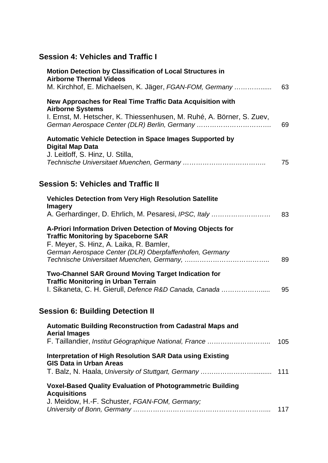## **Session 4: Vehicles and Traffic I**

| <b>Motion Detection by Classification of Local Structures in</b><br><b>Airborne Thermal Videos</b><br>M. Kirchhof, E. Michaelsen, K. Jäger, FGAN-FOM, Germany | 63  |
|---------------------------------------------------------------------------------------------------------------------------------------------------------------|-----|
| New Approaches for Real Time Traffic Data Acquisition with                                                                                                    |     |
| <b>Airborne Systems</b><br>I. Ernst, M. Hetscher, K. Thiessenhusen, M. Ruhé, A. Börner, S. Zuev,<br>German Aerospace Center (DLR) Berlin, Germany             | 69  |
| <b>Automatic Vehicle Detection in Space Images Supported by</b><br><b>Digital Map Data</b><br>J. Leitloff, S. Hinz, U. Stilla,                                |     |
|                                                                                                                                                               | 75  |
| <b>Session 5: Vehicles and Traffic II</b>                                                                                                                     |     |
| <b>Vehicles Detection from Very High Resolution Satellite</b>                                                                                                 |     |
| <b>Imagery</b><br>A. Gerhardinger, D. Ehrlich, M. Pesaresi, IPSC, Italy                                                                                       | 83  |
| A-Priori Information Driven Detection of Moving Objects for<br><b>Traffic Monitoring by Spaceborne SAR</b><br>F. Meyer, S. Hinz, A. Laika, R. Bamler,         |     |
| German Aerospace Center (DLR) Oberpfaffenhofen, Germany                                                                                                       | 89  |
| <b>Two-Channel SAR Ground Moving Target Indication for</b><br><b>Traffic Monitoring in Urban Terrain</b>                                                      |     |
| I. Sikaneta, C. H. Gierull, Defence R&D Canada, Canada                                                                                                        | 95  |
| <b>Session 6: Building Detection II</b>                                                                                                                       |     |
| <b>Automatic Building Reconstruction from Cadastral Maps and</b><br><b>Aerial Images</b>                                                                      |     |
| F. Taillandier, Institut Géographique National, France                                                                                                        | 105 |
| Interpretation of High Resolution SAR Data using Existing<br><b>GIS Data in Urban Areas</b>                                                                   | 111 |
|                                                                                                                                                               |     |
| <b>Voxel-Based Quality Evaluation of Photogrammetric Building</b><br><b>Acquisitions</b>                                                                      |     |
| J. Meidow, H.-F. Schuster, FGAN-FOM, Germany;                                                                                                                 | 117 |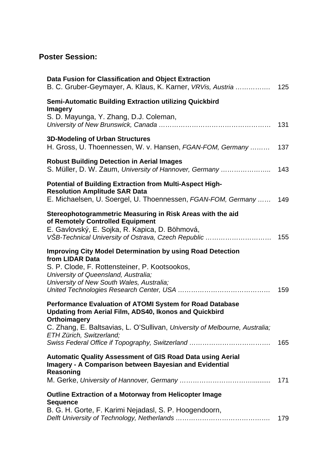#### **Poster Session:**

| Data Fusion for Classification and Object Extraction<br>B. C. Gruber-Geymayer, A. Klaus, K. Karner, VRVis, Austria  125                                                                                                                                                                          |     |
|--------------------------------------------------------------------------------------------------------------------------------------------------------------------------------------------------------------------------------------------------------------------------------------------------|-----|
| <b>Semi-Automatic Building Extraction utilizing Quickbird</b><br><b>Imagery</b><br>S. D. Mayunga, Y. Zhang, D.J. Coleman,                                                                                                                                                                        |     |
| <b>3D-Modeling of Urban Structures</b><br>H. Gross, U. Thoennessen, W. v. Hansen, FGAN-FOM, Germany                                                                                                                                                                                              | 137 |
| <b>Robust Building Detection in Aerial Images</b><br>S. Müller, D. W. Zaum, University of Hannover, Germany                                                                                                                                                                                      | 143 |
| <b>Potential of Building Extraction from Multi-Aspect High-</b><br><b>Resolution Amplitude SAR Data</b><br>E. Michaelsen, U. Soergel, U. Thoennessen, FGAN-FOM, Germany                                                                                                                          | 149 |
| Stereophotogrammetric Measuring in Risk Areas with the aid<br>of Remotely Controlled Equipment<br>E. Gavlovský, E. Sojka, R. Kapica, D. Böhmová,                                                                                                                                                 |     |
| <b>Improving City Model Determination by using Road Detection</b><br>from LIDAR Data<br>S. P. Clode, F. Rottensteiner, P. Kootsookos,<br>University of Queensland, Australia;<br>University of New South Wales, Australia;                                                                       | 159 |
| Performance Evaluation of ATOMI System for Road Database<br>Updating from Aerial Film, ADS40, Ikonos and Quickbird<br>Orthoimagery<br>C. Zhang, E. Baltsavias, L. O'Sullivan, University of Melbourne, Australia;<br>ETH Zürich, Switzerland;<br>Swiss Federal Office if Topography, Switzerland | 165 |
| <b>Automatic Quality Assessment of GIS Road Data using Aerial</b><br><b>Imagery - A Comparison between Bayesian and Evidential</b><br>Reasoning                                                                                                                                                  |     |
|                                                                                                                                                                                                                                                                                                  | 171 |
| <b>Outline Extraction of a Motorway from Helicopter Image</b><br><b>Sequence</b><br>B. G. H. Gorte, F. Karimi Nejadasl, S. P. Hoogendoorn,                                                                                                                                                       | 179 |